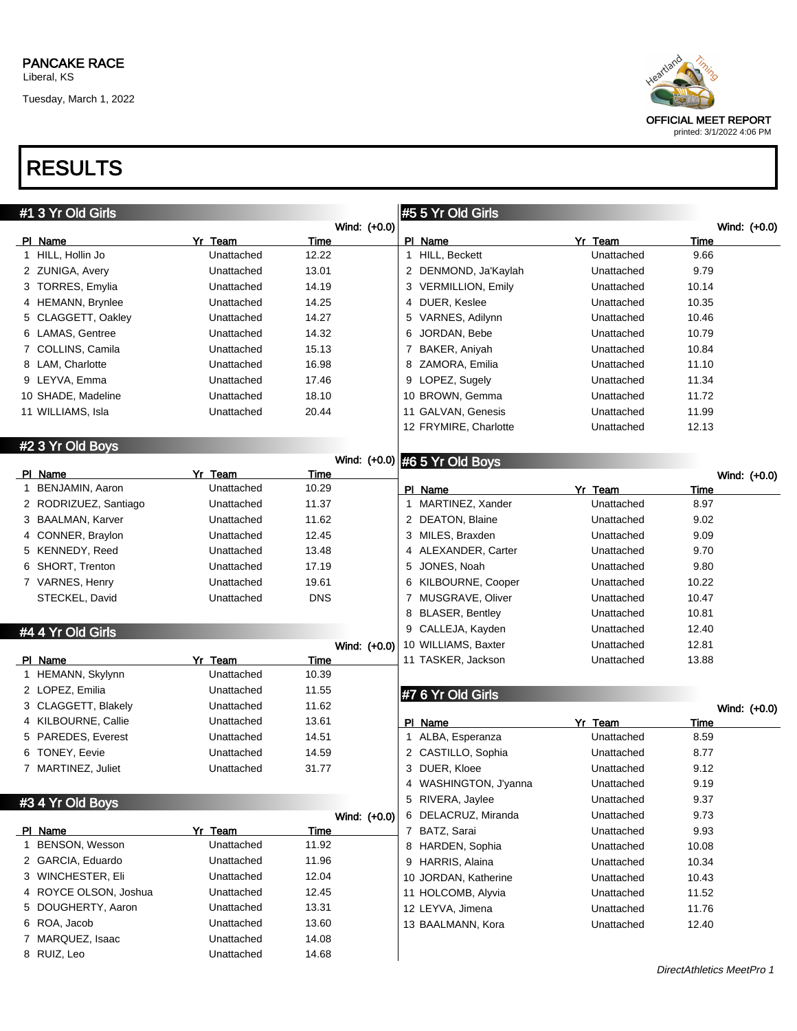Tuesday, March 1, 2022



## RESULTS

| Wind: (+0.0)<br>PI Name<br>PI Name<br>Yr Team<br>Time<br>Yr Team<br>Time<br>1 HILL, Hollin Jo<br>HILL, Beckett<br>9.66<br>Unattached<br>12.22<br>$\mathbf{1}$<br>Unattached<br>9.79<br>2 ZUNIGA, Avery<br>2 DENMOND, Ja'Kaylah<br>Unattached<br>13.01<br>Unattached<br>3 TORRES, Emylia<br>Unattached<br>14.19<br>3 VERMILLION, Emily<br>Unattached<br>10.14<br>14.25<br>DUER, Keslee<br>10.35<br>4 HEMANN, Brynlee<br>Unattached<br>Unattached<br>4<br>5 CLAGGETT, Oakley<br>14.27<br>5 VARNES, Adilynn<br>10.46<br>Unattached<br>Unattached<br>6 LAMAS, Gentree<br>JORDAN, Bebe<br>10.79<br>Unattached<br>14.32<br>6<br>Unattached<br>7 COLLINS, Camila<br>15.13<br>BAKER, Aniyah<br>10.84<br>Unattached<br>Unattached<br>7<br>Unattached<br>16.98<br>8 ZAMORA, Emilia<br>11.10<br>8 LAM, Charlotte<br>Unattached<br>9 LEYVA, Emma<br>Unattached<br>9 LOPEZ, Sugely<br>11.34<br>17.46<br>Unattached<br>Unattached<br>18.10<br>10 BROWN, Gemma<br>11.72<br>10 SHADE, Madeline<br>Unattached<br>11 WILLIAMS, Isla<br>Unattached<br>20.44<br>11 GALVAN, Genesis<br>Unattached<br>11.99<br>12 FRYMIRE, Charlotte<br>Unattached<br>12.13<br>#2 3 Yr Old Boys<br>Wind: (+0.0) #6 5 Yr Old Boys<br>PI Name<br>Yr Team<br>Time<br>Wind: (+0.0)<br>1 BENJAMIN, Aaron<br>Unattached<br>10.29<br>PI Name<br>Yr Team<br>Time<br>1 MARTINEZ, Xander<br>Unattached<br>8.97<br>2 RODRIZUEZ, Santiago<br>Unattached<br>11.37<br>2 DEATON, Blaine<br>9.02<br>3 BAALMAN, Karver<br>Unattached<br>11.62<br>Unattached<br>12.45<br>3 MILES, Braxden<br>9.09<br>4 CONNER, Braylon<br>Unattached<br>Unattached<br>Unattached<br>4 ALEXANDER, Carter<br>9.70<br>5 KENNEDY, Reed<br>13.48<br>Unattached<br>6 SHORT, Trenton<br>Unattached<br>17.19<br>JONES, Noah<br>9.80<br>5<br>Unattached<br>7 VARNES, Henry<br>Unattached<br>KILBOURNE, Cooper<br>10.22<br>19.61<br>Unattached<br>6<br>STECKEL, David<br>Unattached<br><b>DNS</b><br>7 MUSGRAVE, Oliver<br>10.47<br>Unattached<br>8 BLASER, Bentley<br>10.81<br>Unattached<br>9 CALLEJA, Kayden<br>Unattached<br>12.40<br>#4 4 Yr Old Girls<br>12.81<br>10 WILLIAMS, Baxter<br>Unattached<br>Wind: (+0.0)<br>PI Name<br>Yr Team<br>Time<br>11 TASKER, Jackson<br>13.88<br>Unattached<br>1 HEMANN, Skylynn<br>Unattached<br>10.39<br>2 LOPEZ, Emilia<br>11.55<br>Unattached<br>#7 6 Yr Old Girls<br>3 CLAGGETT, Blakely<br>11.62<br>Unattached<br>Wind: (+0.0)<br>4 KILBOURNE, Callie<br>13.61<br>Unattached<br>PI Name<br>Yr Team<br>Time<br>5 PAREDES, Everest<br>14.51<br>1 ALBA, Esperanza<br>Unattached<br>8.59<br>Unattached<br>6 TONEY, Eevie<br>14.59<br>2 CASTILLO, Sophia<br>8.77<br>Unattached<br>Unattached<br>7 MARTINEZ, Juliet<br>31.77<br>3 DUER, Kloee<br>9.12<br>Unattached<br>Unattached<br>4 WASHINGTON, J'yanna<br>Unattached<br>9.19<br>5 RIVERA, Jaylee<br>9.37<br>Unattached<br>#3 4 Yr Old Boys<br>6 DELACRUZ, Miranda<br>9.73<br>Unattached<br>Wind: (+0.0)<br>PI Name<br>Yr Team<br>7 BATZ, Sarai<br>9.93<br>Time<br>Unattached<br>1 BENSON, Wesson<br>Unattached<br>11.92<br>8 HARDEN, Sophia<br>Unattached<br>10.08<br>2 GARCIA, Eduardo<br>Unattached<br>11.96<br>9 HARRIS, Alaina<br>10.34<br>Unattached<br>3 WINCHESTER, Eli<br>Unattached<br>12.04<br>10 JORDAN, Katherine<br>Unattached<br>10.43<br>4 ROYCE OLSON, Joshua<br>Unattached<br>12.45<br>11 HOLCOMB, Alyvia<br>11.52<br>Unattached<br>5 DOUGHERTY, Aaron<br>Unattached<br>13.31<br>12 LEYVA, Jimena<br>11.76<br>Unattached<br>6 ROA, Jacob<br>Unattached<br>13.60<br>13 BAALMANN, Kora<br>Unattached<br>12.40<br>7 MARQUEZ, Isaac<br>14.08<br>Unattached<br>8 RUIZ, Leo<br>Unattached<br>14.68 | #1 3 Yr Old Girls |  | #5 5 Yr Old Girls |              |
|--------------------------------------------------------------------------------------------------------------------------------------------------------------------------------------------------------------------------------------------------------------------------------------------------------------------------------------------------------------------------------------------------------------------------------------------------------------------------------------------------------------------------------------------------------------------------------------------------------------------------------------------------------------------------------------------------------------------------------------------------------------------------------------------------------------------------------------------------------------------------------------------------------------------------------------------------------------------------------------------------------------------------------------------------------------------------------------------------------------------------------------------------------------------------------------------------------------------------------------------------------------------------------------------------------------------------------------------------------------------------------------------------------------------------------------------------------------------------------------------------------------------------------------------------------------------------------------------------------------------------------------------------------------------------------------------------------------------------------------------------------------------------------------------------------------------------------------------------------------------------------------------------------------------------------------------------------------------------------------------------------------------------------------------------------------------------------------------------------------------------------------------------------------------------------------------------------------------------------------------------------------------------------------------------------------------------------------------------------------------------------------------------------------------------------------------------------------------------------------------------------------------------------------------------------------------------------------------------------------------------------------------------------------------------------------------------------------------------------------------------------------------------------------------------------------------------------------------------------------------------------------------------------------------------------------------------------------------------------------------------------------------------------------------------------------------------------------------------------------------------------------------------------------------------------------------------------------------------------------------------------------------------------------------------------------------------------------------------------------------------------------------------------------------------------------------------------------------------------------------------------------------------------------------------------------------------------------------------------------------------|-------------------|--|-------------------|--------------|
|                                                                                                                                                                                                                                                                                                                                                                                                                                                                                                                                                                                                                                                                                                                                                                                                                                                                                                                                                                                                                                                                                                                                                                                                                                                                                                                                                                                                                                                                                                                                                                                                                                                                                                                                                                                                                                                                                                                                                                                                                                                                                                                                                                                                                                                                                                                                                                                                                                                                                                                                                                                                                                                                                                                                                                                                                                                                                                                                                                                                                                                                                                                                                                                                                                                                                                                                                                                                                                                                                                                                                                                                                          |                   |  |                   | Wind: (+0.0) |
|                                                                                                                                                                                                                                                                                                                                                                                                                                                                                                                                                                                                                                                                                                                                                                                                                                                                                                                                                                                                                                                                                                                                                                                                                                                                                                                                                                                                                                                                                                                                                                                                                                                                                                                                                                                                                                                                                                                                                                                                                                                                                                                                                                                                                                                                                                                                                                                                                                                                                                                                                                                                                                                                                                                                                                                                                                                                                                                                                                                                                                                                                                                                                                                                                                                                                                                                                                                                                                                                                                                                                                                                                          |                   |  |                   |              |
|                                                                                                                                                                                                                                                                                                                                                                                                                                                                                                                                                                                                                                                                                                                                                                                                                                                                                                                                                                                                                                                                                                                                                                                                                                                                                                                                                                                                                                                                                                                                                                                                                                                                                                                                                                                                                                                                                                                                                                                                                                                                                                                                                                                                                                                                                                                                                                                                                                                                                                                                                                                                                                                                                                                                                                                                                                                                                                                                                                                                                                                                                                                                                                                                                                                                                                                                                                                                                                                                                                                                                                                                                          |                   |  |                   |              |
|                                                                                                                                                                                                                                                                                                                                                                                                                                                                                                                                                                                                                                                                                                                                                                                                                                                                                                                                                                                                                                                                                                                                                                                                                                                                                                                                                                                                                                                                                                                                                                                                                                                                                                                                                                                                                                                                                                                                                                                                                                                                                                                                                                                                                                                                                                                                                                                                                                                                                                                                                                                                                                                                                                                                                                                                                                                                                                                                                                                                                                                                                                                                                                                                                                                                                                                                                                                                                                                                                                                                                                                                                          |                   |  |                   |              |
|                                                                                                                                                                                                                                                                                                                                                                                                                                                                                                                                                                                                                                                                                                                                                                                                                                                                                                                                                                                                                                                                                                                                                                                                                                                                                                                                                                                                                                                                                                                                                                                                                                                                                                                                                                                                                                                                                                                                                                                                                                                                                                                                                                                                                                                                                                                                                                                                                                                                                                                                                                                                                                                                                                                                                                                                                                                                                                                                                                                                                                                                                                                                                                                                                                                                                                                                                                                                                                                                                                                                                                                                                          |                   |  |                   |              |
|                                                                                                                                                                                                                                                                                                                                                                                                                                                                                                                                                                                                                                                                                                                                                                                                                                                                                                                                                                                                                                                                                                                                                                                                                                                                                                                                                                                                                                                                                                                                                                                                                                                                                                                                                                                                                                                                                                                                                                                                                                                                                                                                                                                                                                                                                                                                                                                                                                                                                                                                                                                                                                                                                                                                                                                                                                                                                                                                                                                                                                                                                                                                                                                                                                                                                                                                                                                                                                                                                                                                                                                                                          |                   |  |                   |              |
|                                                                                                                                                                                                                                                                                                                                                                                                                                                                                                                                                                                                                                                                                                                                                                                                                                                                                                                                                                                                                                                                                                                                                                                                                                                                                                                                                                                                                                                                                                                                                                                                                                                                                                                                                                                                                                                                                                                                                                                                                                                                                                                                                                                                                                                                                                                                                                                                                                                                                                                                                                                                                                                                                                                                                                                                                                                                                                                                                                                                                                                                                                                                                                                                                                                                                                                                                                                                                                                                                                                                                                                                                          |                   |  |                   |              |
|                                                                                                                                                                                                                                                                                                                                                                                                                                                                                                                                                                                                                                                                                                                                                                                                                                                                                                                                                                                                                                                                                                                                                                                                                                                                                                                                                                                                                                                                                                                                                                                                                                                                                                                                                                                                                                                                                                                                                                                                                                                                                                                                                                                                                                                                                                                                                                                                                                                                                                                                                                                                                                                                                                                                                                                                                                                                                                                                                                                                                                                                                                                                                                                                                                                                                                                                                                                                                                                                                                                                                                                                                          |                   |  |                   |              |
|                                                                                                                                                                                                                                                                                                                                                                                                                                                                                                                                                                                                                                                                                                                                                                                                                                                                                                                                                                                                                                                                                                                                                                                                                                                                                                                                                                                                                                                                                                                                                                                                                                                                                                                                                                                                                                                                                                                                                                                                                                                                                                                                                                                                                                                                                                                                                                                                                                                                                                                                                                                                                                                                                                                                                                                                                                                                                                                                                                                                                                                                                                                                                                                                                                                                                                                                                                                                                                                                                                                                                                                                                          |                   |  |                   |              |
|                                                                                                                                                                                                                                                                                                                                                                                                                                                                                                                                                                                                                                                                                                                                                                                                                                                                                                                                                                                                                                                                                                                                                                                                                                                                                                                                                                                                                                                                                                                                                                                                                                                                                                                                                                                                                                                                                                                                                                                                                                                                                                                                                                                                                                                                                                                                                                                                                                                                                                                                                                                                                                                                                                                                                                                                                                                                                                                                                                                                                                                                                                                                                                                                                                                                                                                                                                                                                                                                                                                                                                                                                          |                   |  |                   |              |
|                                                                                                                                                                                                                                                                                                                                                                                                                                                                                                                                                                                                                                                                                                                                                                                                                                                                                                                                                                                                                                                                                                                                                                                                                                                                                                                                                                                                                                                                                                                                                                                                                                                                                                                                                                                                                                                                                                                                                                                                                                                                                                                                                                                                                                                                                                                                                                                                                                                                                                                                                                                                                                                                                                                                                                                                                                                                                                                                                                                                                                                                                                                                                                                                                                                                                                                                                                                                                                                                                                                                                                                                                          |                   |  |                   |              |
|                                                                                                                                                                                                                                                                                                                                                                                                                                                                                                                                                                                                                                                                                                                                                                                                                                                                                                                                                                                                                                                                                                                                                                                                                                                                                                                                                                                                                                                                                                                                                                                                                                                                                                                                                                                                                                                                                                                                                                                                                                                                                                                                                                                                                                                                                                                                                                                                                                                                                                                                                                                                                                                                                                                                                                                                                                                                                                                                                                                                                                                                                                                                                                                                                                                                                                                                                                                                                                                                                                                                                                                                                          |                   |  |                   |              |
|                                                                                                                                                                                                                                                                                                                                                                                                                                                                                                                                                                                                                                                                                                                                                                                                                                                                                                                                                                                                                                                                                                                                                                                                                                                                                                                                                                                                                                                                                                                                                                                                                                                                                                                                                                                                                                                                                                                                                                                                                                                                                                                                                                                                                                                                                                                                                                                                                                                                                                                                                                                                                                                                                                                                                                                                                                                                                                                                                                                                                                                                                                                                                                                                                                                                                                                                                                                                                                                                                                                                                                                                                          |                   |  |                   |              |
|                                                                                                                                                                                                                                                                                                                                                                                                                                                                                                                                                                                                                                                                                                                                                                                                                                                                                                                                                                                                                                                                                                                                                                                                                                                                                                                                                                                                                                                                                                                                                                                                                                                                                                                                                                                                                                                                                                                                                                                                                                                                                                                                                                                                                                                                                                                                                                                                                                                                                                                                                                                                                                                                                                                                                                                                                                                                                                                                                                                                                                                                                                                                                                                                                                                                                                                                                                                                                                                                                                                                                                                                                          |                   |  |                   |              |
|                                                                                                                                                                                                                                                                                                                                                                                                                                                                                                                                                                                                                                                                                                                                                                                                                                                                                                                                                                                                                                                                                                                                                                                                                                                                                                                                                                                                                                                                                                                                                                                                                                                                                                                                                                                                                                                                                                                                                                                                                                                                                                                                                                                                                                                                                                                                                                                                                                                                                                                                                                                                                                                                                                                                                                                                                                                                                                                                                                                                                                                                                                                                                                                                                                                                                                                                                                                                                                                                                                                                                                                                                          |                   |  |                   |              |
|                                                                                                                                                                                                                                                                                                                                                                                                                                                                                                                                                                                                                                                                                                                                                                                                                                                                                                                                                                                                                                                                                                                                                                                                                                                                                                                                                                                                                                                                                                                                                                                                                                                                                                                                                                                                                                                                                                                                                                                                                                                                                                                                                                                                                                                                                                                                                                                                                                                                                                                                                                                                                                                                                                                                                                                                                                                                                                                                                                                                                                                                                                                                                                                                                                                                                                                                                                                                                                                                                                                                                                                                                          |                   |  |                   |              |
|                                                                                                                                                                                                                                                                                                                                                                                                                                                                                                                                                                                                                                                                                                                                                                                                                                                                                                                                                                                                                                                                                                                                                                                                                                                                                                                                                                                                                                                                                                                                                                                                                                                                                                                                                                                                                                                                                                                                                                                                                                                                                                                                                                                                                                                                                                                                                                                                                                                                                                                                                                                                                                                                                                                                                                                                                                                                                                                                                                                                                                                                                                                                                                                                                                                                                                                                                                                                                                                                                                                                                                                                                          |                   |  |                   |              |
|                                                                                                                                                                                                                                                                                                                                                                                                                                                                                                                                                                                                                                                                                                                                                                                                                                                                                                                                                                                                                                                                                                                                                                                                                                                                                                                                                                                                                                                                                                                                                                                                                                                                                                                                                                                                                                                                                                                                                                                                                                                                                                                                                                                                                                                                                                                                                                                                                                                                                                                                                                                                                                                                                                                                                                                                                                                                                                                                                                                                                                                                                                                                                                                                                                                                                                                                                                                                                                                                                                                                                                                                                          |                   |  |                   |              |
|                                                                                                                                                                                                                                                                                                                                                                                                                                                                                                                                                                                                                                                                                                                                                                                                                                                                                                                                                                                                                                                                                                                                                                                                                                                                                                                                                                                                                                                                                                                                                                                                                                                                                                                                                                                                                                                                                                                                                                                                                                                                                                                                                                                                                                                                                                                                                                                                                                                                                                                                                                                                                                                                                                                                                                                                                                                                                                                                                                                                                                                                                                                                                                                                                                                                                                                                                                                                                                                                                                                                                                                                                          |                   |  |                   |              |
|                                                                                                                                                                                                                                                                                                                                                                                                                                                                                                                                                                                                                                                                                                                                                                                                                                                                                                                                                                                                                                                                                                                                                                                                                                                                                                                                                                                                                                                                                                                                                                                                                                                                                                                                                                                                                                                                                                                                                                                                                                                                                                                                                                                                                                                                                                                                                                                                                                                                                                                                                                                                                                                                                                                                                                                                                                                                                                                                                                                                                                                                                                                                                                                                                                                                                                                                                                                                                                                                                                                                                                                                                          |                   |  |                   |              |
|                                                                                                                                                                                                                                                                                                                                                                                                                                                                                                                                                                                                                                                                                                                                                                                                                                                                                                                                                                                                                                                                                                                                                                                                                                                                                                                                                                                                                                                                                                                                                                                                                                                                                                                                                                                                                                                                                                                                                                                                                                                                                                                                                                                                                                                                                                                                                                                                                                                                                                                                                                                                                                                                                                                                                                                                                                                                                                                                                                                                                                                                                                                                                                                                                                                                                                                                                                                                                                                                                                                                                                                                                          |                   |  |                   |              |
|                                                                                                                                                                                                                                                                                                                                                                                                                                                                                                                                                                                                                                                                                                                                                                                                                                                                                                                                                                                                                                                                                                                                                                                                                                                                                                                                                                                                                                                                                                                                                                                                                                                                                                                                                                                                                                                                                                                                                                                                                                                                                                                                                                                                                                                                                                                                                                                                                                                                                                                                                                                                                                                                                                                                                                                                                                                                                                                                                                                                                                                                                                                                                                                                                                                                                                                                                                                                                                                                                                                                                                                                                          |                   |  |                   |              |
|                                                                                                                                                                                                                                                                                                                                                                                                                                                                                                                                                                                                                                                                                                                                                                                                                                                                                                                                                                                                                                                                                                                                                                                                                                                                                                                                                                                                                                                                                                                                                                                                                                                                                                                                                                                                                                                                                                                                                                                                                                                                                                                                                                                                                                                                                                                                                                                                                                                                                                                                                                                                                                                                                                                                                                                                                                                                                                                                                                                                                                                                                                                                                                                                                                                                                                                                                                                                                                                                                                                                                                                                                          |                   |  |                   |              |
|                                                                                                                                                                                                                                                                                                                                                                                                                                                                                                                                                                                                                                                                                                                                                                                                                                                                                                                                                                                                                                                                                                                                                                                                                                                                                                                                                                                                                                                                                                                                                                                                                                                                                                                                                                                                                                                                                                                                                                                                                                                                                                                                                                                                                                                                                                                                                                                                                                                                                                                                                                                                                                                                                                                                                                                                                                                                                                                                                                                                                                                                                                                                                                                                                                                                                                                                                                                                                                                                                                                                                                                                                          |                   |  |                   |              |
|                                                                                                                                                                                                                                                                                                                                                                                                                                                                                                                                                                                                                                                                                                                                                                                                                                                                                                                                                                                                                                                                                                                                                                                                                                                                                                                                                                                                                                                                                                                                                                                                                                                                                                                                                                                                                                                                                                                                                                                                                                                                                                                                                                                                                                                                                                                                                                                                                                                                                                                                                                                                                                                                                                                                                                                                                                                                                                                                                                                                                                                                                                                                                                                                                                                                                                                                                                                                                                                                                                                                                                                                                          |                   |  |                   |              |
|                                                                                                                                                                                                                                                                                                                                                                                                                                                                                                                                                                                                                                                                                                                                                                                                                                                                                                                                                                                                                                                                                                                                                                                                                                                                                                                                                                                                                                                                                                                                                                                                                                                                                                                                                                                                                                                                                                                                                                                                                                                                                                                                                                                                                                                                                                                                                                                                                                                                                                                                                                                                                                                                                                                                                                                                                                                                                                                                                                                                                                                                                                                                                                                                                                                                                                                                                                                                                                                                                                                                                                                                                          |                   |  |                   |              |
|                                                                                                                                                                                                                                                                                                                                                                                                                                                                                                                                                                                                                                                                                                                                                                                                                                                                                                                                                                                                                                                                                                                                                                                                                                                                                                                                                                                                                                                                                                                                                                                                                                                                                                                                                                                                                                                                                                                                                                                                                                                                                                                                                                                                                                                                                                                                                                                                                                                                                                                                                                                                                                                                                                                                                                                                                                                                                                                                                                                                                                                                                                                                                                                                                                                                                                                                                                                                                                                                                                                                                                                                                          |                   |  |                   |              |
|                                                                                                                                                                                                                                                                                                                                                                                                                                                                                                                                                                                                                                                                                                                                                                                                                                                                                                                                                                                                                                                                                                                                                                                                                                                                                                                                                                                                                                                                                                                                                                                                                                                                                                                                                                                                                                                                                                                                                                                                                                                                                                                                                                                                                                                                                                                                                                                                                                                                                                                                                                                                                                                                                                                                                                                                                                                                                                                                                                                                                                                                                                                                                                                                                                                                                                                                                                                                                                                                                                                                                                                                                          |                   |  |                   |              |
|                                                                                                                                                                                                                                                                                                                                                                                                                                                                                                                                                                                                                                                                                                                                                                                                                                                                                                                                                                                                                                                                                                                                                                                                                                                                                                                                                                                                                                                                                                                                                                                                                                                                                                                                                                                                                                                                                                                                                                                                                                                                                                                                                                                                                                                                                                                                                                                                                                                                                                                                                                                                                                                                                                                                                                                                                                                                                                                                                                                                                                                                                                                                                                                                                                                                                                                                                                                                                                                                                                                                                                                                                          |                   |  |                   |              |
|                                                                                                                                                                                                                                                                                                                                                                                                                                                                                                                                                                                                                                                                                                                                                                                                                                                                                                                                                                                                                                                                                                                                                                                                                                                                                                                                                                                                                                                                                                                                                                                                                                                                                                                                                                                                                                                                                                                                                                                                                                                                                                                                                                                                                                                                                                                                                                                                                                                                                                                                                                                                                                                                                                                                                                                                                                                                                                                                                                                                                                                                                                                                                                                                                                                                                                                                                                                                                                                                                                                                                                                                                          |                   |  |                   |              |
|                                                                                                                                                                                                                                                                                                                                                                                                                                                                                                                                                                                                                                                                                                                                                                                                                                                                                                                                                                                                                                                                                                                                                                                                                                                                                                                                                                                                                                                                                                                                                                                                                                                                                                                                                                                                                                                                                                                                                                                                                                                                                                                                                                                                                                                                                                                                                                                                                                                                                                                                                                                                                                                                                                                                                                                                                                                                                                                                                                                                                                                                                                                                                                                                                                                                                                                                                                                                                                                                                                                                                                                                                          |                   |  |                   |              |
|                                                                                                                                                                                                                                                                                                                                                                                                                                                                                                                                                                                                                                                                                                                                                                                                                                                                                                                                                                                                                                                                                                                                                                                                                                                                                                                                                                                                                                                                                                                                                                                                                                                                                                                                                                                                                                                                                                                                                                                                                                                                                                                                                                                                                                                                                                                                                                                                                                                                                                                                                                                                                                                                                                                                                                                                                                                                                                                                                                                                                                                                                                                                                                                                                                                                                                                                                                                                                                                                                                                                                                                                                          |                   |  |                   |              |
|                                                                                                                                                                                                                                                                                                                                                                                                                                                                                                                                                                                                                                                                                                                                                                                                                                                                                                                                                                                                                                                                                                                                                                                                                                                                                                                                                                                                                                                                                                                                                                                                                                                                                                                                                                                                                                                                                                                                                                                                                                                                                                                                                                                                                                                                                                                                                                                                                                                                                                                                                                                                                                                                                                                                                                                                                                                                                                                                                                                                                                                                                                                                                                                                                                                                                                                                                                                                                                                                                                                                                                                                                          |                   |  |                   |              |
|                                                                                                                                                                                                                                                                                                                                                                                                                                                                                                                                                                                                                                                                                                                                                                                                                                                                                                                                                                                                                                                                                                                                                                                                                                                                                                                                                                                                                                                                                                                                                                                                                                                                                                                                                                                                                                                                                                                                                                                                                                                                                                                                                                                                                                                                                                                                                                                                                                                                                                                                                                                                                                                                                                                                                                                                                                                                                                                                                                                                                                                                                                                                                                                                                                                                                                                                                                                                                                                                                                                                                                                                                          |                   |  |                   |              |
|                                                                                                                                                                                                                                                                                                                                                                                                                                                                                                                                                                                                                                                                                                                                                                                                                                                                                                                                                                                                                                                                                                                                                                                                                                                                                                                                                                                                                                                                                                                                                                                                                                                                                                                                                                                                                                                                                                                                                                                                                                                                                                                                                                                                                                                                                                                                                                                                                                                                                                                                                                                                                                                                                                                                                                                                                                                                                                                                                                                                                                                                                                                                                                                                                                                                                                                                                                                                                                                                                                                                                                                                                          |                   |  |                   |              |
|                                                                                                                                                                                                                                                                                                                                                                                                                                                                                                                                                                                                                                                                                                                                                                                                                                                                                                                                                                                                                                                                                                                                                                                                                                                                                                                                                                                                                                                                                                                                                                                                                                                                                                                                                                                                                                                                                                                                                                                                                                                                                                                                                                                                                                                                                                                                                                                                                                                                                                                                                                                                                                                                                                                                                                                                                                                                                                                                                                                                                                                                                                                                                                                                                                                                                                                                                                                                                                                                                                                                                                                                                          |                   |  |                   |              |
|                                                                                                                                                                                                                                                                                                                                                                                                                                                                                                                                                                                                                                                                                                                                                                                                                                                                                                                                                                                                                                                                                                                                                                                                                                                                                                                                                                                                                                                                                                                                                                                                                                                                                                                                                                                                                                                                                                                                                                                                                                                                                                                                                                                                                                                                                                                                                                                                                                                                                                                                                                                                                                                                                                                                                                                                                                                                                                                                                                                                                                                                                                                                                                                                                                                                                                                                                                                                                                                                                                                                                                                                                          |                   |  |                   |              |
|                                                                                                                                                                                                                                                                                                                                                                                                                                                                                                                                                                                                                                                                                                                                                                                                                                                                                                                                                                                                                                                                                                                                                                                                                                                                                                                                                                                                                                                                                                                                                                                                                                                                                                                                                                                                                                                                                                                                                                                                                                                                                                                                                                                                                                                                                                                                                                                                                                                                                                                                                                                                                                                                                                                                                                                                                                                                                                                                                                                                                                                                                                                                                                                                                                                                                                                                                                                                                                                                                                                                                                                                                          |                   |  |                   |              |
|                                                                                                                                                                                                                                                                                                                                                                                                                                                                                                                                                                                                                                                                                                                                                                                                                                                                                                                                                                                                                                                                                                                                                                                                                                                                                                                                                                                                                                                                                                                                                                                                                                                                                                                                                                                                                                                                                                                                                                                                                                                                                                                                                                                                                                                                                                                                                                                                                                                                                                                                                                                                                                                                                                                                                                                                                                                                                                                                                                                                                                                                                                                                                                                                                                                                                                                                                                                                                                                                                                                                                                                                                          |                   |  |                   |              |
|                                                                                                                                                                                                                                                                                                                                                                                                                                                                                                                                                                                                                                                                                                                                                                                                                                                                                                                                                                                                                                                                                                                                                                                                                                                                                                                                                                                                                                                                                                                                                                                                                                                                                                                                                                                                                                                                                                                                                                                                                                                                                                                                                                                                                                                                                                                                                                                                                                                                                                                                                                                                                                                                                                                                                                                                                                                                                                                                                                                                                                                                                                                                                                                                                                                                                                                                                                                                                                                                                                                                                                                                                          |                   |  |                   |              |
|                                                                                                                                                                                                                                                                                                                                                                                                                                                                                                                                                                                                                                                                                                                                                                                                                                                                                                                                                                                                                                                                                                                                                                                                                                                                                                                                                                                                                                                                                                                                                                                                                                                                                                                                                                                                                                                                                                                                                                                                                                                                                                                                                                                                                                                                                                                                                                                                                                                                                                                                                                                                                                                                                                                                                                                                                                                                                                                                                                                                                                                                                                                                                                                                                                                                                                                                                                                                                                                                                                                                                                                                                          |                   |  |                   |              |
|                                                                                                                                                                                                                                                                                                                                                                                                                                                                                                                                                                                                                                                                                                                                                                                                                                                                                                                                                                                                                                                                                                                                                                                                                                                                                                                                                                                                                                                                                                                                                                                                                                                                                                                                                                                                                                                                                                                                                                                                                                                                                                                                                                                                                                                                                                                                                                                                                                                                                                                                                                                                                                                                                                                                                                                                                                                                                                                                                                                                                                                                                                                                                                                                                                                                                                                                                                                                                                                                                                                                                                                                                          |                   |  |                   |              |
|                                                                                                                                                                                                                                                                                                                                                                                                                                                                                                                                                                                                                                                                                                                                                                                                                                                                                                                                                                                                                                                                                                                                                                                                                                                                                                                                                                                                                                                                                                                                                                                                                                                                                                                                                                                                                                                                                                                                                                                                                                                                                                                                                                                                                                                                                                                                                                                                                                                                                                                                                                                                                                                                                                                                                                                                                                                                                                                                                                                                                                                                                                                                                                                                                                                                                                                                                                                                                                                                                                                                                                                                                          |                   |  |                   |              |
|                                                                                                                                                                                                                                                                                                                                                                                                                                                                                                                                                                                                                                                                                                                                                                                                                                                                                                                                                                                                                                                                                                                                                                                                                                                                                                                                                                                                                                                                                                                                                                                                                                                                                                                                                                                                                                                                                                                                                                                                                                                                                                                                                                                                                                                                                                                                                                                                                                                                                                                                                                                                                                                                                                                                                                                                                                                                                                                                                                                                                                                                                                                                                                                                                                                                                                                                                                                                                                                                                                                                                                                                                          |                   |  |                   |              |
|                                                                                                                                                                                                                                                                                                                                                                                                                                                                                                                                                                                                                                                                                                                                                                                                                                                                                                                                                                                                                                                                                                                                                                                                                                                                                                                                                                                                                                                                                                                                                                                                                                                                                                                                                                                                                                                                                                                                                                                                                                                                                                                                                                                                                                                                                                                                                                                                                                                                                                                                                                                                                                                                                                                                                                                                                                                                                                                                                                                                                                                                                                                                                                                                                                                                                                                                                                                                                                                                                                                                                                                                                          |                   |  |                   |              |
| DirectAthletics MeetPro 1                                                                                                                                                                                                                                                                                                                                                                                                                                                                                                                                                                                                                                                                                                                                                                                                                                                                                                                                                                                                                                                                                                                                                                                                                                                                                                                                                                                                                                                                                                                                                                                                                                                                                                                                                                                                                                                                                                                                                                                                                                                                                                                                                                                                                                                                                                                                                                                                                                                                                                                                                                                                                                                                                                                                                                                                                                                                                                                                                                                                                                                                                                                                                                                                                                                                                                                                                                                                                                                                                                                                                                                                |                   |  |                   |              |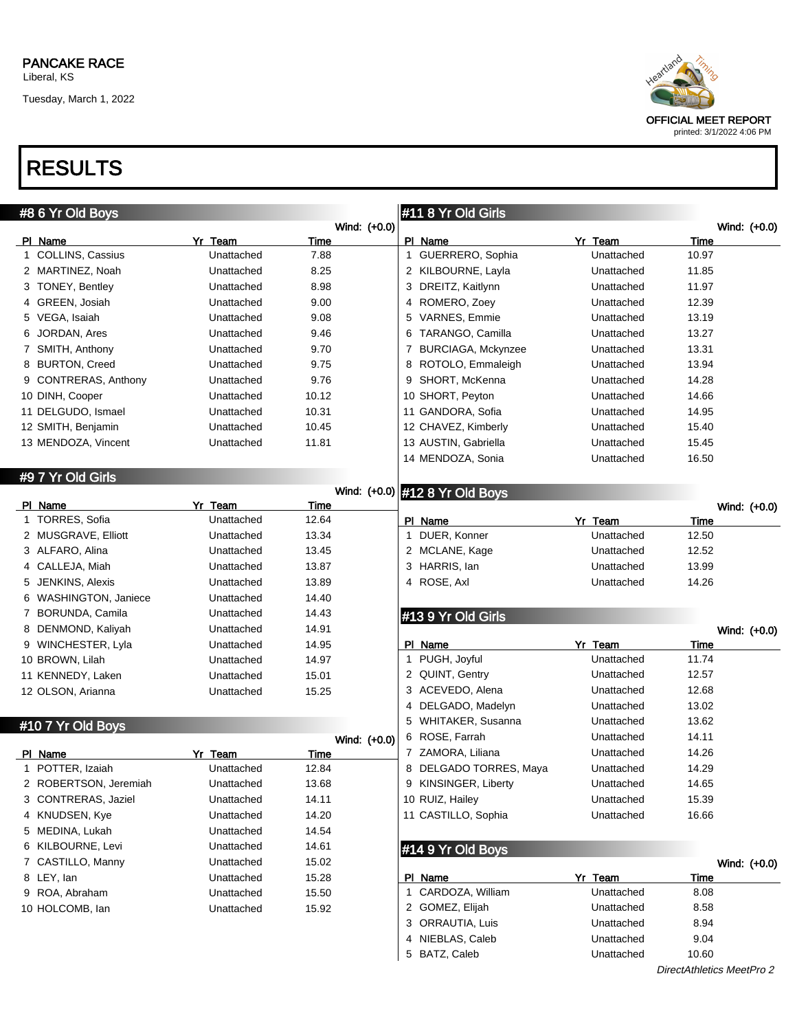Tuesday, March 1, 2022



## RESULTS

|   | #8 6 Yr Old Boys      |            |                      |   | #11 8 Yr Old Girls             |            |       |              |
|---|-----------------------|------------|----------------------|---|--------------------------------|------------|-------|--------------|
|   | PI Name               | Yr Team    | Wind: (+0.0)<br>Time |   | PI Name                        | Yr Team    | Time  | Wind: (+0.0) |
|   | 1 COLLINS, Cassius    | Unattached | 7.88                 |   | 1 GUERRERO, Sophia             | Unattached | 10.97 |              |
|   | 2 MARTINEZ, Noah      | Unattached | 8.25                 |   | 2 KILBOURNE, Layla             | Unattached | 11.85 |              |
|   | 3 TONEY, Bentley      | Unattached | 8.98                 |   | 3 DREITZ, Kaitlynn             | Unattached | 11.97 |              |
|   | 4 GREEN, Josiah       | Unattached | 9.00                 |   | 4 ROMERO, Zoey                 | Unattached | 12.39 |              |
|   | 5 VEGA, Isaiah        | Unattached | 9.08                 |   | 5 VARNES, Emmie                | Unattached | 13.19 |              |
|   | JORDAN, Ares          | Unattached | 9.46                 | 6 | TARANGO, Camilla               | Unattached | 13.27 |              |
|   | 7 SMITH, Anthony      | Unattached | 9.70                 | 7 | <b>BURCIAGA, Mckynzee</b>      | Unattached | 13.31 |              |
|   | 8 BURTON, Creed       | Unattached | 9.75                 | 8 | ROTOLO, Emmaleigh              | Unattached | 13.94 |              |
|   | 9 CONTRERAS, Anthony  | Unattached | 9.76                 | 9 | SHORT, McKenna                 | Unattached | 14.28 |              |
|   | 10 DINH, Cooper       | Unattached | 10.12                |   | 10 SHORT, Peyton               | Unattached | 14.66 |              |
|   | 11 DELGUDO, Ismael    | Unattached | 10.31                |   | 11 GANDORA, Sofia              | Unattached | 14.95 |              |
|   | 12 SMITH, Benjamin    | Unattached | 10.45                |   | 12 CHAVEZ, Kimberly            | Unattached | 15.40 |              |
|   | 13 MENDOZA, Vincent   | Unattached | 11.81                |   | 13 AUSTIN, Gabriella           | Unattached | 15.45 |              |
|   |                       |            |                      |   | 14 MENDOZA, Sonia              | Unattached | 16.50 |              |
|   |                       |            |                      |   |                                |            |       |              |
|   | #9 7 Yr Old Girls     |            |                      |   | Wind: (+0.0) #12 8 Yr Old Boys |            |       |              |
|   | PI Name               | Yr Team    | Time                 |   |                                |            |       | Wind: (+0.0) |
|   | 1 TORRES, Sofia       | Unattached | 12.64                |   | PI Name                        | Yr Team    | Time  |              |
|   | 2 MUSGRAVE, Elliott   | Unattached | 13.34                |   | 1 DUER, Konner                 | Unattached | 12.50 |              |
|   | 3 ALFARO, Alina       | Unattached | 13.45                |   | 2 MCLANE, Kage                 | Unattached | 12.52 |              |
|   | 4 CALLEJA, Miah       | Unattached | 13.87                |   | 3 HARRIS, lan                  | Unattached | 13.99 |              |
| 5 | JENKINS, Alexis       | Unattached | 13.89                |   | 4 ROSE, Axl                    | Unattached | 14.26 |              |
|   | 6 WASHINGTON, Janiece | Unattached | 14.40                |   |                                |            |       |              |
|   | 7 BORUNDA, Camila     | Unattached | 14.43                |   | #13 9 Yr Old Girls             |            |       |              |
|   | 8 DENMOND, Kaliyah    | Unattached | 14.91                |   |                                |            |       | Wind: (+0.0) |
|   | 9 WINCHESTER, Lyla    | Unattached | 14.95                |   | PI_Name                        | Yr Team    | Time  |              |
|   | 10 BROWN, Lilah       | Unattached | 14.97                | 1 | PUGH, Joyful                   | Unattached | 11.74 |              |
|   | 11 KENNEDY, Laken     | Unattached | 15.01                |   | 2 QUINT, Gentry                | Unattached | 12.57 |              |
|   | 12 OLSON, Arianna     | Unattached | 15.25                |   | 3 ACEVEDO, Alena               | Unattached | 12.68 |              |
|   |                       |            |                      | 4 | DELGADO, Madelyn               | Unattached | 13.02 |              |
|   | #10 7 Yr Old Boys     |            |                      | 5 | WHITAKER, Susanna              | Unattached | 13.62 |              |
|   |                       |            | Wind: (+0.0)         |   | 6 ROSE, Farrah                 | Unattached | 14.11 |              |
|   | PI Name               | Yr Team    | <b>Time</b>          |   | 7 ZAMORA, Liliana              | Unattached | 14.26 |              |
|   | 1 POTTER, Izaiah      | Unattached | 12.84                |   | DELGADO TORRES, Maya           | Unattached | 14.29 |              |
|   | 2 ROBERTSON, Jeremiah | Unattached | 13.68                |   | 9 KINSINGER, Liberty           | Unattached | 14.65 |              |
|   | 3 CONTRERAS, Jaziel   | Unattached | 14.11                |   | 10 RUIZ, Hailey                | Unattached | 15.39 |              |
|   | 4 KNUDSEN, Kye        | Unattached | 14.20                |   | 11 CASTILLO, Sophia            | Unattached | 16.66 |              |
|   | 5 MEDINA, Lukah       | Unattached | 14.54                |   |                                |            |       |              |
|   | 6 KILBOURNE, Levi     | Unattached | 14.61                |   | #14 9 Yr Old Boys              |            |       |              |
|   | 7 CASTILLO, Manny     | Unattached | 15.02                |   |                                |            |       | Wind: (+0.0) |
|   | 8 LEY, lan            | Unattached | 15.28                |   | PI Name                        | Yr Team    | Time  |              |
|   | 9 ROA, Abraham        | Unattached | 15.50                |   | 1 CARDOZA, William             | Unattached | 8.08  |              |
|   | 10 HOLCOMB, lan       | Unattached | 15.92                |   | 2 GOMEZ, Elijah                | Unattached | 8.58  |              |
|   |                       |            |                      |   | 3 ORRAUTIA, Luis               | Unattached | 8.94  |              |
|   |                       |            |                      |   | 4 NIEBLAS, Caleb               | Unattached | 9.04  |              |

BATZ, Caleb Unattached 10.60

DirectAthletics MeetPro 2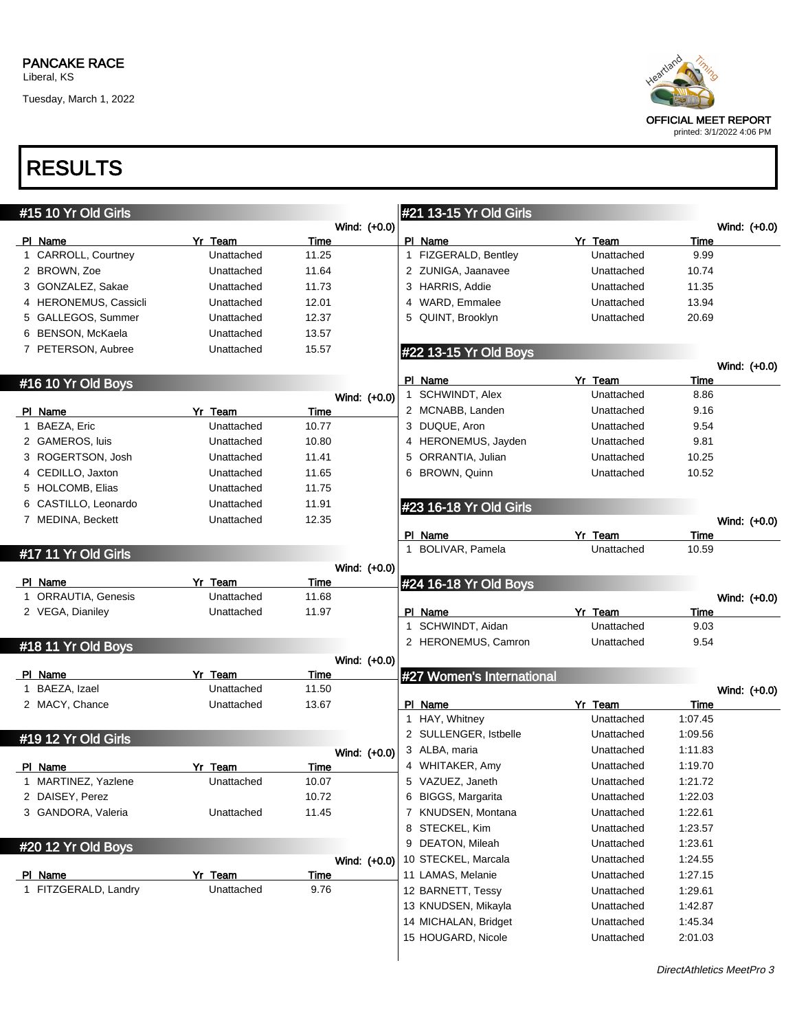Liberal, KS

Tuesday, March 1, 2022



## RESULTS

| #15 10 Yr Old Girls   |            |             |              | #21 13-15 Yr Old Girls          |            |              |  |
|-----------------------|------------|-------------|--------------|---------------------------------|------------|--------------|--|
|                       |            |             | Wind: (+0.0) |                                 |            | Wind: (+0.0) |  |
| PI Name               | Yr Team    | Time        |              | PI Name                         | Yr Team    | Time         |  |
| 1 CARROLL, Courtney   | Unattached | 11.25       |              | 1 FIZGERALD, Bentley            | Unattached | 9.99         |  |
| 2 BROWN, Zoe          | Unattached | 11.64       |              | 2 ZUNIGA, Jaanavee              | Unattached | 10.74        |  |
| 3 GONZALEZ, Sakae     | Unattached | 11.73       |              | 3 HARRIS, Addie                 | Unattached | 11.35        |  |
| 4 HERONEMUS, Cassicli | Unattached | 12.01       |              | WARD, Emmalee<br>4              | Unattached | 13.94        |  |
| 5 GALLEGOS, Summer    | Unattached | 12.37       |              | QUINT, Brooklyn<br>5            | Unattached | 20.69        |  |
| 6 BENSON, McKaela     | Unattached | 13.57       |              |                                 |            |              |  |
| 7 PETERSON, Aubree    | Unattached | 15.57       |              | #22 13-15 Yr Old Boys           |            |              |  |
|                       |            |             |              |                                 |            | Wind: (+0.0) |  |
| #16 10 Yr Old Boys    |            |             |              | PI Name                         | Yr Team    | Time         |  |
|                       |            |             | Wind: (+0.0) | 1 SCHWINDT, Alex                | Unattached | 8.86         |  |
| PI Name               | Yr Team    | <b>Time</b> |              | 2 MCNABB, Landen                | Unattached | 9.16         |  |
| 1 BAEZA, Eric         | Unattached | 10.77       |              | 3 DUQUE, Aron                   | Unattached | 9.54         |  |
| 2 GAMEROS, luis       | Unattached | 10.80       |              | 4 HERONEMUS, Jayden             | Unattached | 9.81         |  |
| 3 ROGERTSON, Josh     | Unattached | 11.41       |              | 5 ORRANTIA, Julian              | Unattached | 10.25        |  |
| 4 CEDILLO, Jaxton     | Unattached | 11.65       |              | 6 BROWN, Quinn                  | Unattached | 10.52        |  |
| 5 HOLCOMB, Elias      | Unattached | 11.75       |              |                                 |            |              |  |
| 6 CASTILLO, Leonardo  | Unattached | 11.91       |              | #23 16-18 Yr Old Girls          |            |              |  |
| 7 MEDINA, Beckett     | Unattached | 12.35       |              |                                 |            | Wind: (+0.0) |  |
|                       |            |             |              | PI Name                         | Yr Team    | Time         |  |
| #17 11 Yr Old Girls   |            |             |              | 1 BOLIVAR, Pamela               | Unattached | 10.59        |  |
|                       |            |             | Wind: (+0.0) |                                 |            |              |  |
| PI Name               | Yr Team    | Time        |              | #24 16-18 Yr Old Boys           |            |              |  |
|                       |            |             |              |                                 |            |              |  |
| 1 ORRAUTIA, Genesis   | Unattached | 11.68       |              |                                 |            | Wind: (+0.0) |  |
| 2 VEGA, Dianiley      | Unattached | 11.97       |              | PI Name                         | Yr Team    | Time         |  |
|                       |            |             |              | SCHWINDT, Aidan<br>$\mathbf{1}$ | Unattached | 9.03         |  |
| #18 11 Yr Old Boys    |            |             |              | 2 HERONEMUS, Camron             | Unattached | 9.54         |  |
|                       |            |             | Wind: (+0.0) |                                 |            |              |  |
| PI Name               | Yr Team    | Time        |              | #27 Women's International       |            |              |  |
| 1 BAEZA, Izael        | Unattached | 11.50       |              |                                 |            | Wind: (+0.0) |  |
| 2 MACY, Chance        | Unattached | 13.67       |              | PI Name                         | Yr Team    | <b>Time</b>  |  |
|                       |            |             |              | 1 HAY, Whitney                  | Unattached | 1:07.45      |  |
| #19 12 Yr Old Girls   |            |             |              | 2 SULLENGER, Istbelle           | Unattached | 1:09.56      |  |
|                       |            |             | Wind: (+0.0) | 3 ALBA, maria                   | Unattached | 1:11.83      |  |
| PI Name               | Yr Team    | <b>Time</b> |              | 4 WHITAKER, Amy                 | Unattached | 1:19.70      |  |
| 1 MARTINEZ, Yazlene   | Unattached | 10.07       |              | 5 VAZUEZ, Janeth                | Unattached | 1:21.72      |  |
| 2 DAISEY, Perez       |            | 10.72       |              | 6 BIGGS, Margarita              | Unattached | 1:22.03      |  |
| 3 GANDORA, Valeria    | Unattached | 11.45       |              | 7 KNUDSEN, Montana              | Unattached | 1:22.61      |  |
|                       |            |             |              | 8 STECKEL, Kim                  | Unattached | 1:23.57      |  |
| #20 12 Yr Old Boys    |            |             |              | 9 DEATON, Mileah                | Unattached | 1:23.61      |  |
|                       |            |             | Wind: (+0.0) | 10 STECKEL, Marcala             | Unattached | 1:24.55      |  |
| PI Name               | Yr Team    | Time        |              | 11 LAMAS, Melanie               | Unattached | 1:27.15      |  |
| 1 FITZGERALD, Landry  | Unattached | 9.76        |              | 12 BARNETT, Tessy               | Unattached | 1:29.61      |  |
|                       |            |             |              | 13 KNUDSEN, Mikayla             | Unattached | 1:42.87      |  |
|                       |            |             |              | 14 MICHALAN, Bridget            | Unattached | 1:45.34      |  |
|                       |            |             |              | 15 HOUGARD, Nicole              | Unattached | 2:01.03      |  |